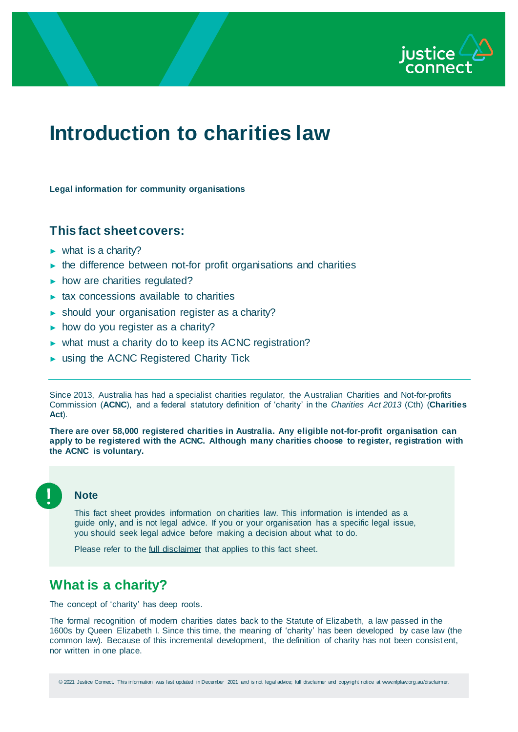

# **Introduction to charities law**

**Legal information for community organisations**

## **This fact sheet covers:**

- $\triangleright$  what is a charity?
- $\blacktriangleright$  the difference between not-for profit organisations and charities
- ► how are charities regulated?
- ► tax concessions available to charities
- ► should your organisation register as a charity?
- $\triangleright$  how do you register as a charity?
- ► what must a charity do to keep its ACNC registration?
- ► using the ACNC Registered Charity Tick

Since 2013, Australia has had a specialist charities regulator, the Australian Charities and Not-for-profits Commission (**ACNC**), and a federal statutory definition of 'charity' in the *Charities Act 2013* (Cth) (**Charities Act**).

**There are over 58,000 registered charities in Australia. Any eligible not-for-profit organisation can apply to be registered with the ACNC. Although many charities choose to register, registration with the ACNC is voluntary.** 



## **Note**

This fact sheet provides information on charities law. This information is intended as a guide only, and is not legal advice. If you or your organisation has a specific legal issue, you should seek legal advice before making a decision about what to do.

Please refer to the *full disclaimer* that applies to this fact sheet.

## **What is a charity?**

The concept of 'charity' has deep roots.

The formal recognition of modern charities dates back to the Statute of Elizabeth, a law passed in the 1600s by Queen Elizabeth I. Since this time, the meaning of 'charity' has been developed by case law (the common law). Because of this incremental development, the definition of charity has not been consist ent, nor written in one place.

© 2021 Justice Connect. This information was last updated in December 2021 and is not legal advice; full disclaimer and copyright notice at www.nfplaw.org.au/disclaimer.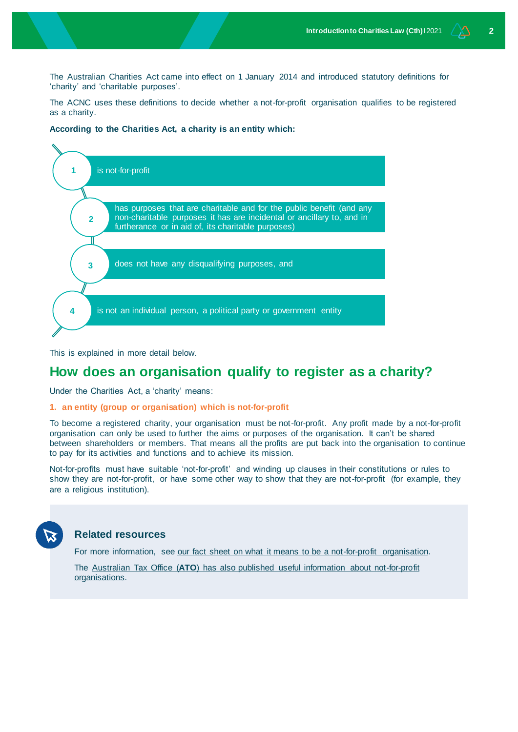The Australian Charities Act came into effect on 1 January 2014 and introduced statutory definitions for 'charity' and 'charitable purposes'.

The ACNC uses these definitions to decide whether a not-for-profit organisation qualifies to be registered as a charity.

#### **According to the Charities Act, a charity is an entity which:**



This is explained in more detail below.

## **How does an organisation qualify to register as a charity?**

Under the Charities Act, a 'charity' means:

#### **1. an entity (group or organisation) which is not-for-profit**

To become a registered charity, your organisation must be not-for-profit. Any profit made by a not-for-profit organisation can only be used to further the aims or purposes of the organisation. It can't be shared between shareholders or members. That means all the profits are put back into the organisation to continue to pay for its activities and functions and to achieve its mission.

Not-for-profits must have suitable 'not-for-profit' and winding up clauses in their constitutions or rules to show they are not-for-profit, or have some other way to show that they are not-for-profit (for example, they are a religious institution).

## **Related resources**

For more information, see [our fact sheet on what it means to be a not-for-profit organisation.](https://www.nfplaw.org.au/beforeyoustart)

The Australian Tax Office (**ATO**[\) has also published useful information about not-for-profit](https://www.ato.gov.au/Non-profit/Getting-started/In-detail/Induction-package/Induction-package-for-not-for-profit-administrators/)  [organisations.](https://www.ato.gov.au/Non-profit/Getting-started/In-detail/Induction-package/Induction-package-for-not-for-profit-administrators/)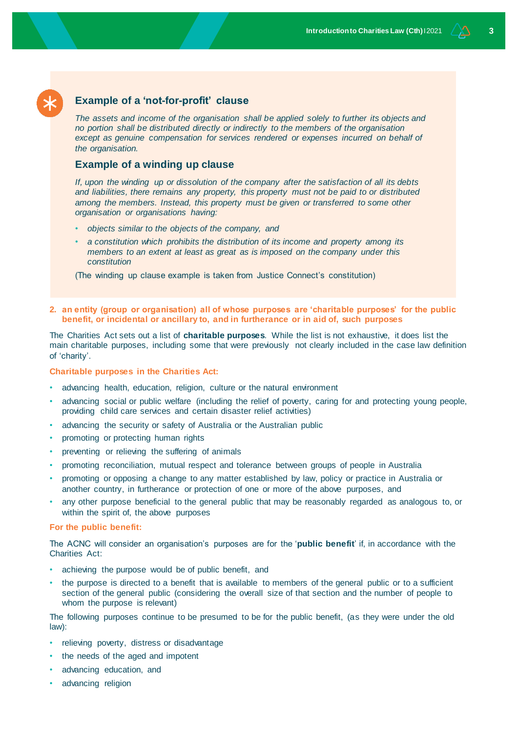## **Example of a 'not-for-profit' clause**

*The assets and income of the organisation shall be applied solely to further its objects and no portion shall be distributed directly or indirectly to the members of the organisation*  except as genuine compensation for services rendered or expenses incurred on behalf of *the organisation.*

## **Example of a winding up clause**

*If, upon the winding up or dissolution of the company after the satisfaction of all its debts and liabilities, there remains any property, this property must not be paid to or distributed among the members. Instead, this property must be given or transferred to some other organisation or organisations having:*

- *objects similar to the objects of the company, and*
- *a constitution which prohibits the distribution of its income and property among its members to an extent at least as great as is imposed on the company under this constitution*

(The winding up clause example is taken from Justice Connect's constitution)

#### **2. an entity (group or organisation) all of whose purposes are 'charitable purposes' for the public benefit, or incidental or ancillary to, and in furtherance or in aid of, such purposes**

The Charities Act sets out a list of **charitable purposes**. While the list is not exhaustive, it does list the main charitable purposes, including some that were previously not clearly included in the case law definition of 'charity'.

#### **Charitable purposes in the Charities Act:**

- advancing health, education, religion, culture or the natural environment
- advancing social or public welfare (including the relief of poverty, caring for and protecting young people, providing child care services and certain disaster relief activities)
- advancing the security or safety of Australia or the Australian public
- promoting or protecting human rights
- preventing or relieving the suffering of animals
- promoting reconciliation, mutual respect and tolerance between groups of people in Australia
- promoting or opposing a change to any matter established by law, policy or practice in Australia or another country, in furtherance or protection of one or more of the above purposes, and
- any other purpose beneficial to the general public that may be reasonably regarded as analogous to, or within the spirit of, the above purposes

#### **For the public benefit:**

The ACNC will consider an organisation's purposes are for the '**public benefit**' if, in accordance with the Charities Act:

- achieving the purpose would be of public benefit, and
- the purpose is directed to a benefit that is available to members of the general public or to a sufficient section of the general public (considering the overall size of that section and the number of people to whom the purpose is relevant)

The following purposes continue to be presumed to be for the public benefit, (as they were under the old law):

- relieving poverty, distress or disadvantage
- the needs of the aged and impotent
- advancing education, and
- advancing religion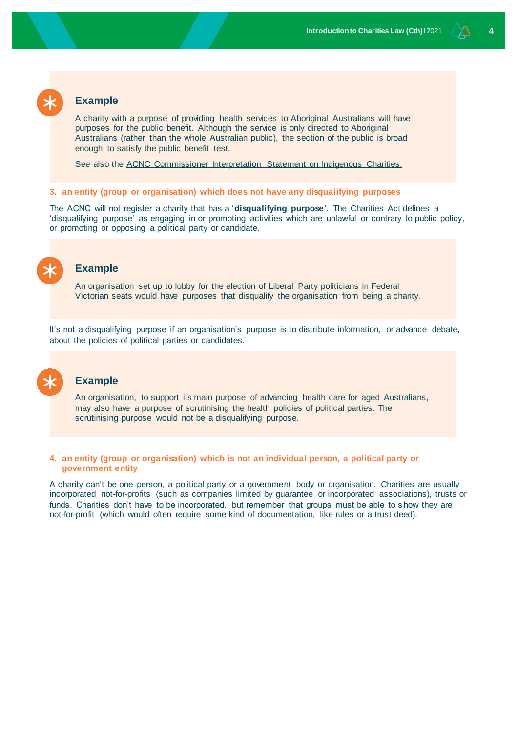## **Example**

A charity with a purpose of providing health services to Aboriginal Australians will have purposes for the public benefit. Although the service is only directed to Aboriginal Australians (rather than the whole Australian public), the section of the public is broad enough to satisfy the public benefit test.

See also the [ACNC Commissioner Interpretation Statement on Indigenous Charities.](https://www.acnc.gov.au/tools/guidance/commissioners-interpretation-statements/indigenous-charities)

#### **3. an entity (group or organisation) which does not have any disqualifying purposes**

The ACNC will not register a charity that has a '**disqualifying purpose**'. The Charities Act defines a 'disqualifying purpose' as engaging in or promoting activities which are unlawful or contrary to public policy, or promoting or opposing a political party or candidate.



#### **Example**

An organisation set up to lobby for the election of Liberal Party politicians in Federal Victorian seats would have purposes that disqualify the organisation from being a charity.

It's not a disqualifying purpose if an organisation's purpose is to distribute information, or advance debate, about the policies of political parties or candidates.

### **Example**

An organisation, to support its main purpose of advancing health care for aged Australians, may also have a purpose of scrutinising the health policies of political parties. The scrutinising purpose would not be a disqualifying purpose.

#### **4. an entity (group or organisation) which is not an individual person, a political party or government entity**

A charity can't be one person, a political party or a government body or organisation. Charities are usually incorporated not-for-profits (such as companies limited by guarantee or incorporated associations), trusts or funds. Charities don't have to be incorporated, but remember that groups must be able to s how they are not-for-profit (which would often require some kind of documentation, like rules or a trust deed).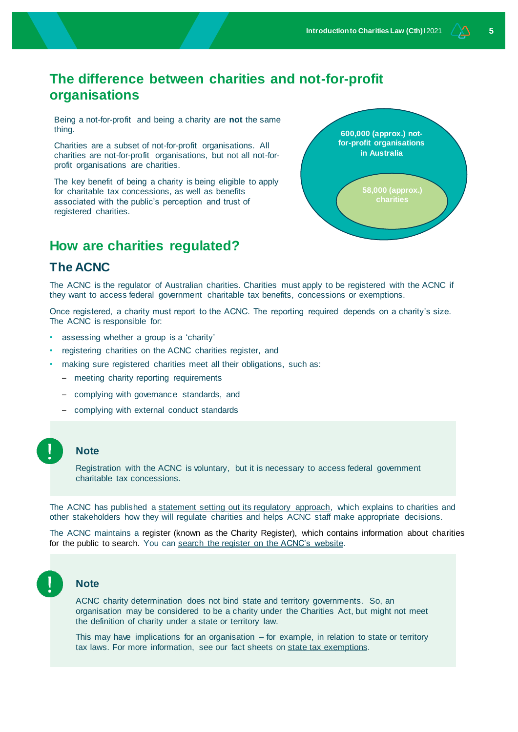## **The difference between charities and not-for-profit organisations**

Being a not-for-profit and being a charity are **not** the same thing.

Charities are a subset of not-for-profit organisations. All charities are not-for-profit organisations, but not all not-forprofit organisations are charities.

The key benefit of being a charity is being eligible to apply for charitable tax concessions, as well as benefits associated with the public's perception and trust of registered charities.



## **How are charities regulated?**

## **The ACNC**

The ACNC is the regulator of Australian charities. Charities must apply to be registered with the ACNC if they want to access federal government charitable tax benefits, concessions or exemptions.

Once registered, a charity must report to the ACNC. The reporting required depends on a charity's size. The ACNC is responsible for:

- assessing whether a group is a 'charity'
- registering charities on the ACNC charities register, and
- making sure registered charities meet all their obligations, such as:
	- meeting charity reporting requirements
	- complying with governance standards, and
	- complying with external conduct standards

#### **Note**

Registration with the ACNC is voluntary, but it is necessary to access federal government charitable tax concessions.

The ACNC has published a [statement setting out its regulatory approach,](https://www.acnc.gov.au/raise-concern/regulating-charities/acnc-regulatory-approach-statement) which explains to charities and other stakeholders how they will regulate charities and helps ACNC staff make appropriate decisions.

The ACNC maintains a register (known as the Charity Register), which contains information about charities for the public to search. You ca[n search the register on the ACNC's website.](https://www.acnc.gov.au/charity/programs/map)



#### **Note**

ACNC charity determination does not bind state and territory governments. So, an organisation may be considered to be a charity under the Charities Act, but might not meet the definition of charity under a state or territory law.

This may have implications for an organisation  $-$  for example, in relation to state or territory tax laws. For more information, see our fact sheets on state tax exemptions.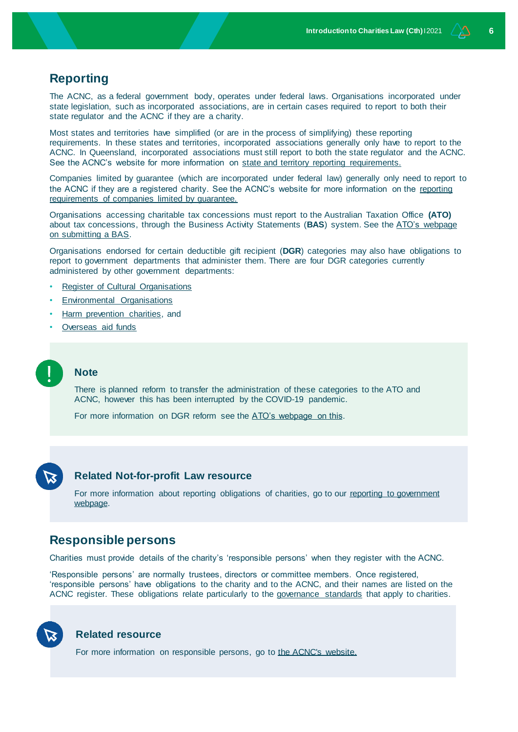## **Reporting**

The ACNC, as a federal government body, operates under federal laws. Organisations incorporated under state legislation, such as incorporated associations, are in certain cases required to report to both their state regulator and the ACNC if they are a charity.

Most states and territories have simplified (or are in the process of simplifying) these reporting requirements. In these states and territories, incorporated associations generally only have to report to the ACNC. In Queensland, incorporated associations must still report to both the state regulator and the ACNC. See the ACNC's website for more information on [state and territory reporting requirements.](https://www.acnc.gov.au/about/red-tape-reduction)

Companies limited by guarantee (which are incorporated under federal law) generally only need to report to the ACNC if they are a registered charity. See the ACNC's website for more information on the [reporting](https://www.acnc.gov.au/for-charities/manage-your-charity/other-regulators/companies-limited-guarantee)  [requirements of companies limited by guarantee.](https://www.acnc.gov.au/for-charities/manage-your-charity/other-regulators/companies-limited-guarantee)

Organisations accessing charitable tax concessions must report to the Australian Taxation Office **(ATO)**  about tax concessions, through the Business Activity Statements (**BAS**) system. See the [ATO's webpage](https://www.ato.gov.au/business/business-activity-statements-(bas)/)  [on submitting a BAS.](https://www.ato.gov.au/business/business-activity-statements-(bas)/)

Organisations endorsed for certain deductible gift recipient (**DGR**) categories may also have obligations to report to government departments that administer them. There are four DGR categories currently administered by other government departments:

- **[Register of Cultural Organisations](https://www.ato.gov.au/Non-profit/Getting-started/In-detail/Types-of-DGRs/Register-of-Cultural-Organisations/)**
- [Environmental Organisations](https://www.ato.gov.au/Non-profit/Getting-started/In-detail/Types-of-DGRs/Environmental-organisations/)
- [Harm prevention charities,](https://www.ato.gov.au/Non-profit/Getting-started/In-detail/Types-of-DGRs/Harm-prevention-charities/) and
- [Overseas aid funds](https://www.ato.gov.au/Non-profit/Getting-started/In-detail/Types-of-DGRs/Overseas-aid-funds/)

#### **Note**

There is planned reform to transfer the administration of these categories to the ATO and ACNC, however this has been interrupted by the COVID-19 pandemic.

For more information on DGR reform see the [ATO's webpage on this.](https://www.ato.gov.au/General/New-legislation/In-detail/Other-topics/Not-for-profit/Deductible-gift-recipient-reform/)



#### **Related Not-for-profit Law resource**

For more information about reporting obligations of charities, go to our reporting to government [webpage.](http://www.nfplaw.org.au/reporting)

## **Responsible persons**

Charities must provide details of the charity's 'responsible persons' when they register with the ACNC.

'Responsible persons' are normally trustees, directors or committee members. Once registered, 'responsible persons' have obligations to the charity and to the ACNC, and their names are listed on the ACNC register. These obligations relate particularly to the [governance standards](https://www.acnc.gov.au/for-charities/manage-your-charity/governance-hub/governance-standards) that apply to charities.



#### **Related resource**

For more information on responsible persons, go to [the ACNC's website.](https://www.acnc.gov.au/tools/factsheets/responsible-persons-board-or-committee-members)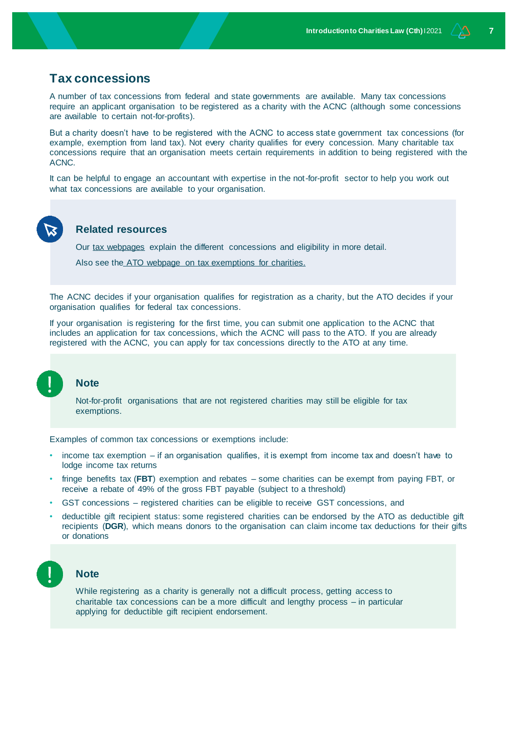## **Tax concessions**

A number of tax concessions from federal and state governments are available. Many tax concessions require an applicant organisation to be registered as a charity with the ACNC (although some concessions are available to certain not-for-profits).

But a charity doesn't have to be registered with the ACNC to access state government tax concessions (for example, exemption from land tax). Not every charity qualifies for every concession. Many charitable tax concessions require that an organisation meets certain requirements in addition to being registered with the ACNC.

It can be helpful to engage an accountant with expertise in the not-for-profit sector to help you work out what tax concessions are available to your organisation.

## **Related resources**

Our [tax webpages](http://www.nfplaw.org.au/tax) explain the different concessions and eligibility in more detail.

Also see the [ATO webpage on tax exemptions for charities.](https://www.ato.gov.au/Non-profit/Getting-started/What-tax-concessions-are-available-/)

The ACNC decides if your organisation qualifies for registration as a charity, but the ATO decides if your organisation qualifies for federal tax concessions.

If your organisation is registering for the first time, you can submit one application to the ACNC that includes an application for tax concessions, which the ACNC will pass to the ATO. If you are already registered with the ACNC, you can apply for tax concessions directly to the ATO at any time.

#### **Note**

Not-for-profit organisations that are not registered charities may still be eligible for tax exemptions.

Examples of common tax concessions or exemptions include:

- income tax exemption if an organisation qualifies, it is exempt from income tax and doesn't have to lodge income tax returns
- fringe benefits tax (**FBT**) exemption and rebates some charities can be exempt from paying FBT, or receive a rebate of 49% of the gross FBT payable (subject to a threshold)
- GST concessions registered charities can be eligible to receive GST concessions, and
- deductible gift recipient status: some registered charities can be endorsed by the ATO as deductible gift recipients (**DGR**), which means donors to the organisation can claim income tax deductions for their gifts or donations



#### **Note**

While registering as a charity is generally not a difficult process, getting access to charitable tax concessions can be a more difficult and lengthy process – in particular applying for deductible gift recipient endorsement.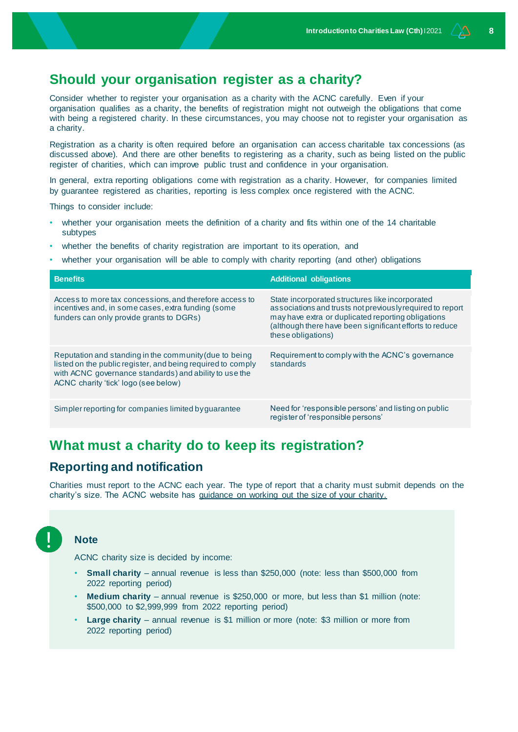## **Should your organisation register as a charity?**

Consider whether to register your organisation as a charity with the ACNC carefully. Even if your organisation qualifies as a charity, the benefits of registration might not outweigh the obligations that come with being a registered charity. In these circumstances, you may choose not to register your organisation as a charity.

Registration as a charity is often required before an organisation can access charitable tax concessions (as discussed above). And there are other benefits to registering as a charity, such as being listed on the public register of charities, which can improve public trust and confidence in your organisation.

In general, extra reporting obligations come with registration as a charity. However, for companies limited by guarantee registered as charities, reporting is less complex once registered with the ACNC.

Things to consider include:

- whether your organisation meets the definition of a charity and fits within one of the 14 charitable subtypes
- whether the benefits of charity registration are important to its operation, and
- whether your organisation will be able to comply with charity reporting (and other) obligations

| <b>Benefits</b>                                                                                                                                                                                                         | <b>Additional obligations</b>                                                                                                                                                                                                                       |
|-------------------------------------------------------------------------------------------------------------------------------------------------------------------------------------------------------------------------|-----------------------------------------------------------------------------------------------------------------------------------------------------------------------------------------------------------------------------------------------------|
| Access to more tax concessions, and therefore access to<br>incentives and, in some cases, extra funding (some<br>funders can only provide grants to DGRs)                                                               | State incorporated structures like incorporated<br>associations and trusts not previously required to report<br>may have extra or duplicated reporting obligations<br>(although there have been significant efforts to reduce<br>these obligations) |
| Reputation and standing in the community (due to being<br>listed on the public register, and being required to comply<br>with ACNC governance standards) and ability to use the<br>ACNC charity 'tick' logo (see below) | Requirement to comply with the ACNC's governance<br>standards                                                                                                                                                                                       |
| Simpler reporting for companies limited by quarantee                                                                                                                                                                    | Need for 'responsible persons' and listing on public<br>register of 'responsible persons'                                                                                                                                                           |

## **What must a charity do to keep its registration?**

## **Reporting and notification**

Charities must report to the ACNC each year. The type of report that a charity must submit depends on the charity's size. The ACNC website has [guidance on working out the size of your charity.](https://www.acnc.gov.au/tools/topic-guides/charity-size)

## **Note**

ACNC charity size is decided by income:

- **Small charity** annual revenue is less than \$250,000 (note: less than \$500,000 from 2022 reporting period)
- **Medium charity** annual revenue is \$250,000 or more, but less than \$1 million (note: \$500,000 to \$2,999,999 from 2022 reporting period)
- **Large charity** annual revenue is \$1 million or more (note: \$3 million or more from 2022 reporting period)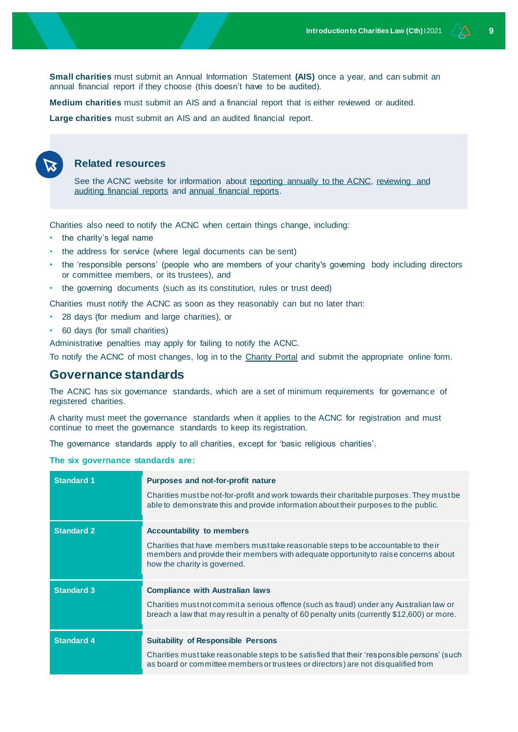**Small charities** must submit an Annual Information Statement **(AIS)** once a year, and can submit an annual financial report if they choose (this doesn't have to be audited).

**Medium charities** must submit an AIS and a financial report that is either reviewed or audited.

**Large charities** must submit an AIS and an audited financial report.



#### **Related resources**

See the ACNC website for information about [reporting annually to the ACNC,](https://www.acnc.gov.au/for-charities/manage-your-charity/obligations-acnc/reporting-annually-acnc) reviewing and [auditing financial reports](https://www.acnc.gov.au/for-charities/manage-your-charity/obligations-acnc/reporting-annually-acnc/reviewing-and-auditing-financial-reports) and [annual financial reports.](https://www.acnc.gov.au/for-charities/manage-your-charity/obligations-acnc/reporting-annually-acnc/annual-financial-reports)

Charities also need to notify the ACNC when certain things change, including:

- the charity's legal name
- the address for service (where legal documents can be sent)
- the 'responsible persons' (people who are members of your charity's governing body including directors or committee members, or its trustees), and

• the governing documents (such as its constitution, rules or trust deed)

Charities must notify the ACNC as soon as they reasonably can but no later than:

- 28 days (for medium and large charities), or
- 60 days (for small charities)

Administrative penalties may apply for failing to notify the ACNC.

To notify the ACNC of most changes, log in to the [Charity Portal](https://login.microsoftonline.com/te/acncauth.onmicrosoft.com/b2c_1_acnc_signuppolicy/oauth2/v2.0/authorize?client_id=f059987a-32a8-4f9e-aa81-290705556c03&redirect_uri=https%3A%2F%2Fcharity.acnc.gov.au%2F&response_type=id_token&scope=openid&state=OpenIdConnect.AuthenticationProperties%3DZzDa6RUyvuMSb3wjeWj9eUYFQjpND5pWjvd-GtXWR_0O5WkNE4yAvSoeyU7aUCi5szpiwDR7E1j5438I3KBuwQPztLhOwgnukm5VyZjAhjC1VQy2cFd011mQNWBMNjBsni4GaKPVtfJp7UtOE7ptc_-MC-b-EeakxPbP0oyH5m84KJYKyETozjZ2zi9FVZZZKh_5Lk2djN8vp-xVKOxT5fN2eVsjjKMWkoo6sS2ypWrgSCxUiXwpJol2W44Z127qA-oKQcGaLQbfltRpAa7Wn9XNH2HQHa0GYqM7yZXdjv4&response_mode=form_post&nonce=637747081842490057.Y2E1ZDg4MjItNDlkYi00MzhiLTlmMjUtNWZhNzExYTZhMWU3MTBkYTlkMmYtMGU4OS00MzdjLTgzYjktNWY1OTY4YzRhMjkw&ui_locales=en-US&x-client-SKU=ID_NET461&x-client-ver=5.3.0.0) and submit the appropriate online form.

## **Governance standards**

The ACNC has six governance standards, which are a set of minimum requirements for governance of registered charities.

A charity must meet the governance standards when it applies to the ACNC for registration and must continue to meet the governance standards to keep its registration.

The governance standards apply to all charities, except for 'basic religious charities'.

#### **The six governance standards are:**

| <b>Standard 1</b> | Purposes and not-for-profit nature<br>Charities must be not-for-profit and work towards their charitable purposes. They must be<br>able to demonstrate this and provide information about their purposes to the public.                       |
|-------------------|-----------------------------------------------------------------------------------------------------------------------------------------------------------------------------------------------------------------------------------------------|
| <b>Standard 2</b> | <b>Accountability to members</b><br>Charities that have members must take reasonable steps to be accountable to the ir<br>members and provide their members with adequate opportunity to raise concerns about<br>how the charity is governed. |
| <b>Standard 3</b> | <b>Compliance with Australian laws</b><br>Charities must not commit a serious offence (such as fraud) under any Australian law or<br>breach a law that may result in a penalty of 60 penalty units (currently \$12,600) or more.              |
| <b>Standard 4</b> | <b>Suitability of Responsible Persons</b><br>Charities must take reasonable steps to be satisfied that their 'responsible persons' (such<br>as board or committee members or trustees or directors) are not disqualified from                 |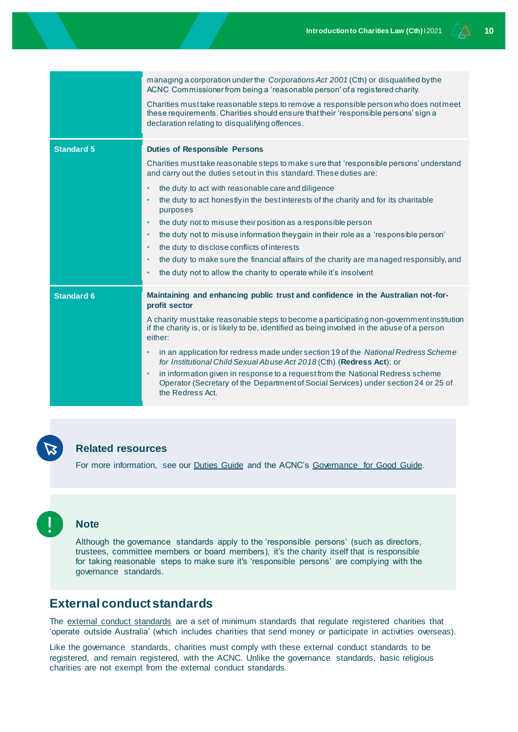|                   | managing a corporation under the <i>Corporations Act 2001</i> (Cth) or disqualified by the<br>ACNC Commissioner from being a 'reasonable person' of a registered charity.<br>Charities must take reasonable steps to remove a responsible person who does not meet<br>these requirements. Charities should ensure that their 'responsible persons' sign a<br>declaration relating to disqualifying offences.                                                                                                                                                                                                                                                                                                                                                                                  |
|-------------------|-----------------------------------------------------------------------------------------------------------------------------------------------------------------------------------------------------------------------------------------------------------------------------------------------------------------------------------------------------------------------------------------------------------------------------------------------------------------------------------------------------------------------------------------------------------------------------------------------------------------------------------------------------------------------------------------------------------------------------------------------------------------------------------------------|
| <b>Standard 5</b> | <b>Duties of Responsible Persons</b><br>Charities must take reasonable steps to make sure that 'responsible persons' understand<br>and carry out the duties set out in this standard. These duties are:<br>the duty to act with reasonable care and diligence<br>the duty to act honestly in the best interests of the charity and for its charitable<br>purposes<br>the duty not to misuse their position as a responsible person<br>the duty not to misuse information they gain in their role as a 'responsible person'<br>$\bullet$<br>the duty to disclose conflicts of interests<br>$\bullet$<br>the duty to make sure the financial affairs of the charity are managed responsibly, and<br>$\bullet$<br>the duty not to allow the charity to operate while it's insolvent<br>$\bullet$ |
| <b>Standard 6</b> | Maintaining and enhancing public trust and confidence in the Australian not-for-<br>profit sector<br>A charity must take reasonable steps to become a participating non-government institution<br>if the charity is, or is likely to be, identified as being involved in the abuse of a person<br>either:<br>in an application for redress made under section 19 of the National Redress Scheme<br>$\bullet$<br>for Institutional Child Sexual Abuse Act 2018 (Cth) (Redress Act); or<br>in information given in response to a request from the National Redress scheme<br>$\bullet$<br>Operator (Secretary of the Department of Social Services) under section 24 or 25 of<br>the Redress Act.                                                                                               |

## **Related resources**

For more information, see our [Duties Guide](https://www.nfplaw.org.au/governance) and the ACNC's [Governance for Good Guide.](https://www.acnc.gov.au/tools/guides/governance-for-good-acncs-guide-for-charity-board-members)



Although the governance standards apply to the 'responsible persons' (such as directors, trustees, committee members or board members), it's the charity itself that is responsible for taking reasonable steps to make sure it's 'responsible persons' are complying with the governance standards.

## **External conduct standards**

The [external conduct standards](https://www.acnc.gov.au/for-charities/manage-your-charity/governance-hub/acnc-external-conduct-standards) are a set of minimum standards that regulate registered charities that 'operate outside Australia' (which includes charities that send money or participate in activities overseas).

Like the governance standards, charities must comply with these external conduct standards to be registered, and remain registered, with the ACNC. Unlike the governance standards, basic religious charities are not exempt from the external conduct standards.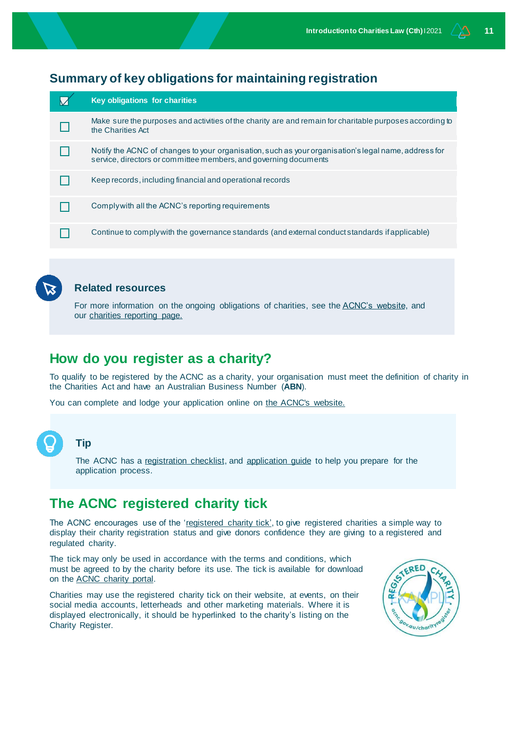## **Summary of key obligations for maintaining registration**

| <b>Key obligations for charities</b>                                                                                                                                     |
|--------------------------------------------------------------------------------------------------------------------------------------------------------------------------|
| Make sure the purposes and activities of the charity are and remain for charitable purposes according to<br>the Charities Act                                            |
| Notify the ACNC of changes to your organisation, such as your organisation's legal name, address for<br>service, directors or committee members, and governing documents |
| Keep records, including financial and operational records                                                                                                                |
| Comply with all the ACNC's reporting requirements                                                                                                                        |
| Continue to comply with the governance standards (and external conduct standards if applicable)                                                                          |



## **Related resources**

For more information on the ongoing obligations of charities, see th[e ACNC's website,](https://www.acnc.gov.au/) and our [charities reporting page.](http://www.nfplaw.org.au/charityreporting)

## **How do you register as a charity?**

To qualify to be registered by the ACNC as a charity, your organisation must meet the definition of charity in the Charities Act and have an Australian Business Number (**ABN**).

You can complete and lodge your application online on [the ACNC's website.](https://www.acnc.gov.au/for-charities/start-charity/apply)



#### **Tip**

The ACNC has a [registration](https://www.acnc.gov.au/for-charities/start-charity/apply/application-checklist) checklist, and [application guide](https://www.acnc.gov.au/for-charities/start-charity/apply) to help you prepare for the application process.

## **The ACNC registered charity tick**

The ACNC encourages use of the ['registered charity tick',](https://www.acnc.gov.au/charity/tick-charity-registration) to give registered charities a simple way to display their charity registration status and give donors confidence they are giving to a registered and regulated charity.

The tick may only be used in accordance with the terms and conditions, which must be agreed to by the charity before its use. The tick is available for download on th[e ACNC charity portal.](https://charity.acnc.gov.au/)

Charities may use the registered charity tick on their website, at events, on their social media accounts, letterheads and other marketing materials. Where it is displayed electronically, it should be hyperlinked to the charity's listing on the Charity Register.